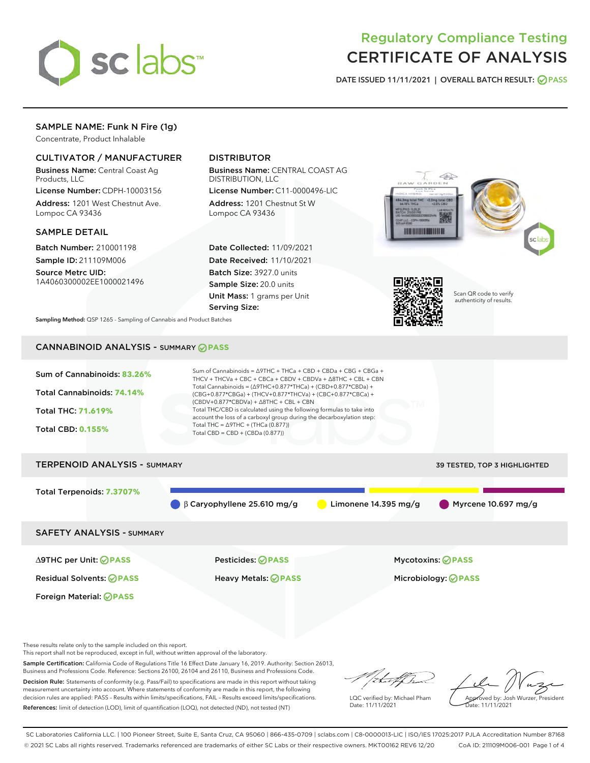

# Regulatory Compliance Testing CERTIFICATE OF ANALYSIS

DATE ISSUED 11/11/2021 | OVERALL BATCH RESULT: @ PASS

# SAMPLE NAME: Funk N Fire (1g)

Concentrate, Product Inhalable

# CULTIVATOR / MANUFACTURER

Business Name: Central Coast Ag Products, LLC

License Number: CDPH-10003156 Address: 1201 West Chestnut Ave. Lompoc CA 93436

# SAMPLE DETAIL

Batch Number: 210001198 Sample ID: 211109M006

Source Metrc UID: 1A4060300002EE1000021496

# DISTRIBUTOR

Business Name: CENTRAL COAST AG DISTRIBUTION, LLC

License Number: C11-0000496-LIC Address: 1201 Chestnut St W Lompoc CA 93436

Date Collected: 11/09/2021 Date Received: 11/10/2021 Batch Size: 3927.0 units Sample Size: 20.0 units Unit Mass: 1 grams per Unit Serving Size:





Scan QR code to verify authenticity of results.

Sampling Method: QSP 1265 - Sampling of Cannabis and Product Batches

# CANNABINOID ANALYSIS - SUMMARY **PASS**



These results relate only to the sample included on this report.

This report shall not be reproduced, except in full, without written approval of the laboratory.

Sample Certification: California Code of Regulations Title 16 Effect Date January 16, 2019. Authority: Section 26013, Business and Professions Code. Reference: Sections 26100, 26104 and 26110, Business and Professions Code. Decision Rule: Statements of conformity (e.g. Pass/Fail) to specifications are made in this report without taking

measurement uncertainty into account. Where statements of conformity are made in this report, the following decision rules are applied: PASS – Results within limits/specifications, FAIL – Results exceed limits/specifications. References: limit of detection (LOD), limit of quantification (LOQ), not detected (ND), not tested (NT)

that for

LQC verified by: Michael Pham Date: 11/11/2021

Approved by: Josh Wurzer, President ate: 11/11/2021

SC Laboratories California LLC. | 100 Pioneer Street, Suite E, Santa Cruz, CA 95060 | 866-435-0709 | sclabs.com | C8-0000013-LIC | ISO/IES 17025:2017 PJLA Accreditation Number 87168 © 2021 SC Labs all rights reserved. Trademarks referenced are trademarks of either SC Labs or their respective owners. MKT00162 REV6 12/20 CoA ID: 211109M006-001 Page 1 of 4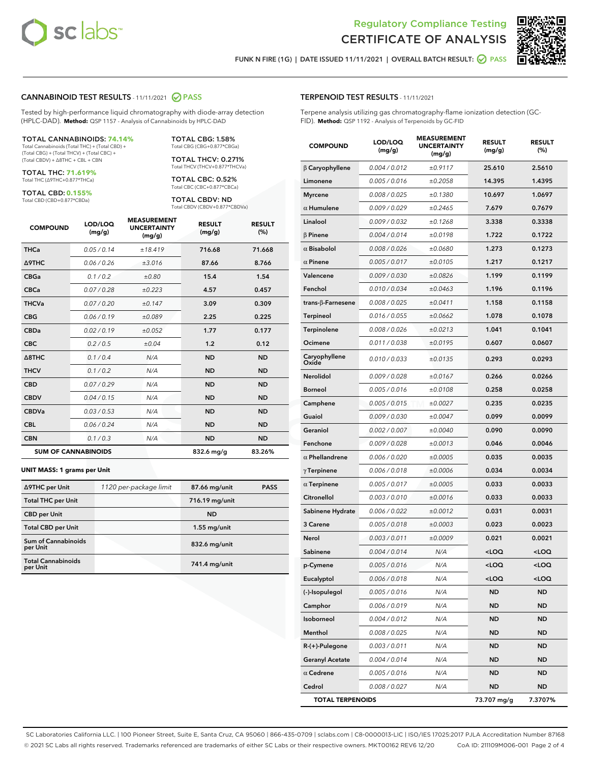



FUNK N FIRE (1G) | DATE ISSUED 11/11/2021 | OVERALL BATCH RESULT:  $\bigcirc$  PASS

# CANNABINOID TEST RESULTS - 11/11/2021 2 PASS

Tested by high-performance liquid chromatography with diode-array detection (HPLC-DAD). **Method:** QSP 1157 - Analysis of Cannabinoids by HPLC-DAD

#### TOTAL CANNABINOIDS: **74.14%**

Total Cannabinoids (Total THC) + (Total CBD) + (Total CBG) + (Total THCV) + (Total CBC) + (Total CBDV) + ∆8THC + CBL + CBN

TOTAL THC: **71.619%** Total THC (∆9THC+0.877\*THCa)

TOTAL CBD: **0.155%** Total CBD (CBD+0.877\*CBDa)

TOTAL CBG: 1.58% Total CBG (CBG+0.877\*CBGa)

TOTAL THCV: 0.271% Total THCV (THCV+0.877\*THCVa)

TOTAL CBC: 0.52% Total CBC (CBC+0.877\*CBCa)

TOTAL CBDV: ND Total CBDV (CBDV+0.877\*CBDVa)

| <b>COMPOUND</b>            | LOD/LOQ<br>(mg/g) | <b>MEASUREMENT</b><br><b>UNCERTAINTY</b><br>(mg/g) | <b>RESULT</b><br>(mg/g) | <b>RESULT</b><br>(%) |
|----------------------------|-------------------|----------------------------------------------------|-------------------------|----------------------|
| <b>THCa</b>                | 0.05/0.14         | ±18.419                                            | 716.68                  | 71.668               |
| <b>A9THC</b>               | 0.06 / 0.26       | ±3.016                                             | 87.66                   | 8.766                |
| <b>CBGa</b>                | 0.1/0.2           | ±0.80                                              | 15.4                    | 1.54                 |
| <b>CBCa</b>                | 0.07 / 0.28       | ±0.223                                             | 4.57                    | 0.457                |
| <b>THCVa</b>               | 0.07/0.20         | ±0.147                                             | 3.09                    | 0.309                |
| <b>CBG</b>                 | 0.06/0.19         | ±0.089                                             | 2.25                    | 0.225                |
| <b>CBDa</b>                | 0.02/0.19         | ±0.052                                             | 1.77                    | 0.177                |
| <b>CBC</b>                 | 0.2 / 0.5         | ±0.04                                              | 1.2                     | 0.12                 |
| Δ8THC                      | 0.1 / 0.4         | N/A                                                | <b>ND</b>               | <b>ND</b>            |
| <b>THCV</b>                | 0.1 / 0.2         | N/A                                                | <b>ND</b>               | <b>ND</b>            |
| <b>CBD</b>                 | 0.07/0.29         | N/A                                                | <b>ND</b>               | <b>ND</b>            |
| <b>CBDV</b>                | 0.04 / 0.15       | N/A                                                | <b>ND</b>               | <b>ND</b>            |
| <b>CBDVa</b>               | 0.03 / 0.53       | N/A                                                | <b>ND</b>               | <b>ND</b>            |
| <b>CBL</b>                 | 0.06 / 0.24       | N/A                                                | <b>ND</b>               | <b>ND</b>            |
| <b>CBN</b>                 | 0.1/0.3           | N/A                                                | <b>ND</b>               | <b>ND</b>            |
| <b>SUM OF CANNABINOIDS</b> |                   |                                                    | 832.6 mg/g              | 83.26%               |

#### **UNIT MASS: 1 grams per Unit**

| ∆9THC per Unit                         | 1120 per-package limit | 87.66 mg/unit  | <b>PASS</b> |
|----------------------------------------|------------------------|----------------|-------------|
| <b>Total THC per Unit</b>              |                        | 716.19 mg/unit |             |
| <b>CBD</b> per Unit                    |                        | <b>ND</b>      |             |
| <b>Total CBD per Unit</b>              |                        | $1.55$ mg/unit |             |
| <b>Sum of Cannabinoids</b><br>per Unit |                        | 832.6 mg/unit  |             |
| <b>Total Cannabinoids</b><br>per Unit  |                        | 741.4 mg/unit  |             |

#### TERPENOID TEST RESULTS - 11/11/2021

Terpene analysis utilizing gas chromatography-flame ionization detection (GC-FID). **Method:** QSP 1192 - Analysis of Terpenoids by GC-FID

| <b>COMPOUND</b>               | LOD/LOQ<br>(mg/g) | <b>MEASUREMENT</b><br><b>UNCERTAINTY</b><br>(mg/g) | <b>RESULT</b><br>(mg/g)                         | <b>RESULT</b><br>(%) |
|-------------------------------|-------------------|----------------------------------------------------|-------------------------------------------------|----------------------|
| $\beta$ Caryophyllene         | 0.004 / 0.012     | ±0.9117                                            | 25.610                                          | 2.5610               |
| Limonene                      | 0.005 / 0.016     | ±0.2058                                            | 14.395                                          | 1.4395               |
| Myrcene                       | 0.008 / 0.025     | ±0.1380                                            | 10.697                                          | 1.0697               |
| $\alpha$ Humulene             | 0.009 / 0.029     | ±0.2465                                            | 7.679                                           | 0.7679               |
| Linalool                      | 0.009 / 0.032     | ±0.1268                                            | 3.338                                           | 0.3338               |
| <b>B</b> Pinene               | 0.004 / 0.014     | ±0.0198                                            | 1.722                                           | 0.1722               |
| $\alpha$ Bisabolol            | 0.008 / 0.026     | ±0.0680                                            | 1.273                                           | 0.1273               |
| $\alpha$ Pinene               | 0.005 / 0.017     | ±0.0105                                            | 1.217                                           | 0.1217               |
| Valencene                     | 0.009 / 0.030     | ±0.0826                                            | 1.199                                           | 0.1199               |
| Fenchol                       | 0.010 / 0.034     | ±0.0463                                            | 1.196                                           | 0.1196               |
| trans-β-Farnesene             | 0.008 / 0.025     | ±0.0411                                            | 1.158                                           | 0.1158               |
| Terpineol                     | 0.016 / 0.055     | ±0.0662                                            | 1.078                                           | 0.1078               |
| Terpinolene                   | 0.008 / 0.026     | ±0.0213                                            | 1.041                                           | 0.1041               |
| Ocimene                       | 0.011 / 0.038     | ±0.0195                                            | 0.607                                           | 0.0607               |
| Caryophyllene<br><b>Oxide</b> | 0.010 / 0.033     | ±0.0135                                            | 0.293                                           | 0.0293               |
| Nerolidol                     | 0.009 / 0.028     | ±0.0167                                            | 0.266                                           | 0.0266               |
| <b>Borneol</b>                | 0.005 / 0.016     | ±0.0108                                            | 0.258                                           | 0.0258               |
| Camphene                      | 0.005 / 0.015     | ±0.0027                                            | 0.235                                           | 0.0235               |
| Guaiol                        | 0.009 / 0.030     | ±0.0047                                            | 0.099                                           | 0.0099               |
| Geraniol                      | 0.002 / 0.007     | ±0.0040                                            | 0.090                                           | 0.0090               |
| Fenchone                      | 0.009 / 0.028     | ±0.0013                                            | 0.046                                           | 0.0046               |
| $\alpha$ Phellandrene         | 0.006 / 0.020     | ±0.0005                                            | 0.035                                           | 0.0035               |
| $\gamma$ Terpinene            | 0.006 / 0.018     | ±0.0006                                            | 0.034                                           | 0.0034               |
| $\alpha$ Terpinene            | 0.005 / 0.017     | ±0.0005                                            | 0.033                                           | 0.0033               |
| Citronellol                   | 0.003 / 0.010     | ±0.0016                                            | 0.033                                           | 0.0033               |
| Sabinene Hydrate              | 0.006 / 0.022     | ±0.0012                                            | 0.031                                           | 0.0031               |
| 3 Carene                      | 0.005 / 0.018     | ±0.0003                                            | 0.023                                           | 0.0023               |
| Nerol                         | 0.003 / 0.011     | ±0.0009                                            | 0.021                                           | 0.0021               |
| Sabinene                      | 0.004 / 0.014     | N/A                                                | <loq< th=""><th><loq< th=""></loq<></th></loq<> | <loq< th=""></loq<>  |
| p-Cymene                      | 0.005 / 0.016     | N/A                                                | $<$ LOQ                                         | $<$ LOO              |
| Eucalyptol                    | 0.006 / 0.018     | N/A                                                | $<$ LOQ                                         | <loq< th=""></loq<>  |
| (-)-Isopulegol                | 0.005 / 0.016     | N/A                                                | ND                                              | <b>ND</b>            |
| Camphor                       | 0.006 / 0.019     | N/A                                                | ND                                              | ND                   |
| Isoborneol                    | 0.004 / 0.012     | N/A                                                | ND                                              | ND                   |
| Menthol                       | 0.008 / 0.025     | N/A                                                | ND                                              | ND                   |
| R-(+)-Pulegone                | 0.003 / 0.011     | N/A                                                | ND                                              | ND                   |
| <b>Geranyl Acetate</b>        | 0.004 / 0.014     | N/A                                                | ND                                              | ND                   |
| $\alpha$ Cedrene              | 0.005 / 0.016     | N/A                                                | ND                                              | ND                   |
| Cedrol                        | 0.008 / 0.027     | N/A                                                | ND                                              | ND                   |
| <b>TOTAL TERPENOIDS</b>       |                   |                                                    | 73.707 mg/g                                     | 7.3707%              |

SC Laboratories California LLC. | 100 Pioneer Street, Suite E, Santa Cruz, CA 95060 | 866-435-0709 | sclabs.com | C8-0000013-LIC | ISO/IES 17025:2017 PJLA Accreditation Number 87168 © 2021 SC Labs all rights reserved. Trademarks referenced are trademarks of either SC Labs or their respective owners. MKT00162 REV6 12/20 CoA ID: 211109M006-001 Page 2 of 4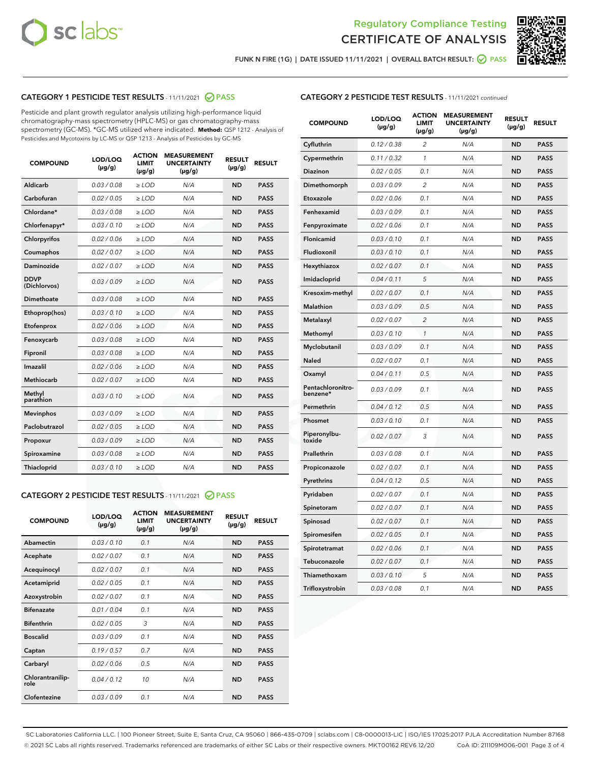



FUNK N FIRE (1G) | DATE ISSUED 11/11/2021 | OVERALL BATCH RESULT:  $\bigcirc$  PASS

# CATEGORY 1 PESTICIDE TEST RESULTS - 11/11/2021 2 PASS

Pesticide and plant growth regulator analysis utilizing high-performance liquid chromatography-mass spectrometry (HPLC-MS) or gas chromatography-mass spectrometry (GC-MS). \*GC-MS utilized where indicated. **Method:** QSP 1212 - Analysis of Pesticides and Mycotoxins by LC-MS or QSP 1213 - Analysis of Pesticides by GC-MS

| 0.03/0.08<br>Aldicarb<br>$>$ LOD<br>N/A<br><b>ND</b><br><b>PASS</b><br>Carbofuran<br>0.02 / 0.05<br>$\ge$ LOD<br>N/A<br><b>ND</b><br><b>PASS</b><br>Chlordane*<br>0.03/0.08<br>$>$ LOD<br>N/A<br><b>ND</b><br><b>PASS</b><br>Chlorfenapyr*<br>0.03/0.10<br><b>PASS</b><br>$\ge$ LOD<br>N/A<br><b>ND</b><br>Chlorpyrifos<br>0.02 / 0.06<br>N/A<br><b>ND</b><br><b>PASS</b><br>$\ge$ LOD<br>0.02 / 0.07<br>N/A<br><b>ND</b><br><b>PASS</b><br>Coumaphos<br>$\ge$ LOD<br>Daminozide<br>0.02 / 0.07<br>$\ge$ LOD<br>N/A<br><b>ND</b><br><b>PASS</b><br><b>DDVP</b><br>0.03/0.09<br>$\ge$ LOD<br>N/A<br><b>ND</b><br><b>PASS</b><br>(Dichlorvos)<br><b>Dimethoate</b><br>0.03 / 0.08<br>N/A<br><b>ND</b><br><b>PASS</b><br>$\ge$ LOD<br>0.03/0.10<br>N/A<br><b>ND</b><br><b>PASS</b><br>Ethoprop(hos)<br>$\ge$ LOD<br>0.02 / 0.06<br>N/A<br><b>ND</b><br><b>PASS</b><br>Etofenprox<br>$\ge$ LOD<br>0.03 / 0.08<br>N/A<br><b>ND</b><br><b>PASS</b><br>Fenoxycarb<br>$\ge$ LOD<br>0.03/0.08<br>$>$ LOD<br>N/A<br><b>ND</b><br>Fipronil<br><b>PASS</b><br>0.02 / 0.06<br>Imazalil<br>$\ge$ LOD<br>N/A<br><b>ND</b><br><b>PASS</b><br><b>Methiocarb</b><br>0.02 / 0.07<br>$\ge$ LOD<br>N/A<br><b>ND</b><br><b>PASS</b><br>Methyl<br>0.03/0.10<br>N/A<br><b>ND</b><br><b>PASS</b><br>$\ge$ LOD<br>parathion<br>0.03/0.09<br>$\ge$ LOD<br><b>ND</b><br><b>PASS</b><br><b>Mevinphos</b><br>N/A<br>Paclobutrazol<br>0.02 / 0.05<br>$>$ LOD<br>N/A<br><b>ND</b><br><b>PASS</b><br>0.03/0.09<br>N/A<br>$\ge$ LOD<br><b>ND</b><br><b>PASS</b><br>Propoxur<br>0.03 / 0.08<br><b>ND</b><br><b>PASS</b><br>Spiroxamine<br>$\ge$ LOD<br>N/A<br>Thiacloprid<br>0.03/0.10<br>$\ge$ LOD<br>N/A<br><b>ND</b><br><b>PASS</b> | <b>COMPOUND</b> | LOD/LOQ<br>$(\mu g/g)$ | <b>ACTION</b><br><b>LIMIT</b><br>$(\mu g/g)$ | <b>MEASUREMENT</b><br><b>UNCERTAINTY</b><br>$(\mu g/g)$ | <b>RESULT</b><br>$(\mu g/g)$ | <b>RESULT</b> |
|-----------------------------------------------------------------------------------------------------------------------------------------------------------------------------------------------------------------------------------------------------------------------------------------------------------------------------------------------------------------------------------------------------------------------------------------------------------------------------------------------------------------------------------------------------------------------------------------------------------------------------------------------------------------------------------------------------------------------------------------------------------------------------------------------------------------------------------------------------------------------------------------------------------------------------------------------------------------------------------------------------------------------------------------------------------------------------------------------------------------------------------------------------------------------------------------------------------------------------------------------------------------------------------------------------------------------------------------------------------------------------------------------------------------------------------------------------------------------------------------------------------------------------------------------------------------------------------------------------------------------------------------------------------------------------------------------------|-----------------|------------------------|----------------------------------------------|---------------------------------------------------------|------------------------------|---------------|
|                                                                                                                                                                                                                                                                                                                                                                                                                                                                                                                                                                                                                                                                                                                                                                                                                                                                                                                                                                                                                                                                                                                                                                                                                                                                                                                                                                                                                                                                                                                                                                                                                                                                                                     |                 |                        |                                              |                                                         |                              |               |
|                                                                                                                                                                                                                                                                                                                                                                                                                                                                                                                                                                                                                                                                                                                                                                                                                                                                                                                                                                                                                                                                                                                                                                                                                                                                                                                                                                                                                                                                                                                                                                                                                                                                                                     |                 |                        |                                              |                                                         |                              |               |
|                                                                                                                                                                                                                                                                                                                                                                                                                                                                                                                                                                                                                                                                                                                                                                                                                                                                                                                                                                                                                                                                                                                                                                                                                                                                                                                                                                                                                                                                                                                                                                                                                                                                                                     |                 |                        |                                              |                                                         |                              |               |
|                                                                                                                                                                                                                                                                                                                                                                                                                                                                                                                                                                                                                                                                                                                                                                                                                                                                                                                                                                                                                                                                                                                                                                                                                                                                                                                                                                                                                                                                                                                                                                                                                                                                                                     |                 |                        |                                              |                                                         |                              |               |
|                                                                                                                                                                                                                                                                                                                                                                                                                                                                                                                                                                                                                                                                                                                                                                                                                                                                                                                                                                                                                                                                                                                                                                                                                                                                                                                                                                                                                                                                                                                                                                                                                                                                                                     |                 |                        |                                              |                                                         |                              |               |
|                                                                                                                                                                                                                                                                                                                                                                                                                                                                                                                                                                                                                                                                                                                                                                                                                                                                                                                                                                                                                                                                                                                                                                                                                                                                                                                                                                                                                                                                                                                                                                                                                                                                                                     |                 |                        |                                              |                                                         |                              |               |
|                                                                                                                                                                                                                                                                                                                                                                                                                                                                                                                                                                                                                                                                                                                                                                                                                                                                                                                                                                                                                                                                                                                                                                                                                                                                                                                                                                                                                                                                                                                                                                                                                                                                                                     |                 |                        |                                              |                                                         |                              |               |
|                                                                                                                                                                                                                                                                                                                                                                                                                                                                                                                                                                                                                                                                                                                                                                                                                                                                                                                                                                                                                                                                                                                                                                                                                                                                                                                                                                                                                                                                                                                                                                                                                                                                                                     |                 |                        |                                              |                                                         |                              |               |
|                                                                                                                                                                                                                                                                                                                                                                                                                                                                                                                                                                                                                                                                                                                                                                                                                                                                                                                                                                                                                                                                                                                                                                                                                                                                                                                                                                                                                                                                                                                                                                                                                                                                                                     |                 |                        |                                              |                                                         |                              |               |
|                                                                                                                                                                                                                                                                                                                                                                                                                                                                                                                                                                                                                                                                                                                                                                                                                                                                                                                                                                                                                                                                                                                                                                                                                                                                                                                                                                                                                                                                                                                                                                                                                                                                                                     |                 |                        |                                              |                                                         |                              |               |
|                                                                                                                                                                                                                                                                                                                                                                                                                                                                                                                                                                                                                                                                                                                                                                                                                                                                                                                                                                                                                                                                                                                                                                                                                                                                                                                                                                                                                                                                                                                                                                                                                                                                                                     |                 |                        |                                              |                                                         |                              |               |
|                                                                                                                                                                                                                                                                                                                                                                                                                                                                                                                                                                                                                                                                                                                                                                                                                                                                                                                                                                                                                                                                                                                                                                                                                                                                                                                                                                                                                                                                                                                                                                                                                                                                                                     |                 |                        |                                              |                                                         |                              |               |
|                                                                                                                                                                                                                                                                                                                                                                                                                                                                                                                                                                                                                                                                                                                                                                                                                                                                                                                                                                                                                                                                                                                                                                                                                                                                                                                                                                                                                                                                                                                                                                                                                                                                                                     |                 |                        |                                              |                                                         |                              |               |
|                                                                                                                                                                                                                                                                                                                                                                                                                                                                                                                                                                                                                                                                                                                                                                                                                                                                                                                                                                                                                                                                                                                                                                                                                                                                                                                                                                                                                                                                                                                                                                                                                                                                                                     |                 |                        |                                              |                                                         |                              |               |
|                                                                                                                                                                                                                                                                                                                                                                                                                                                                                                                                                                                                                                                                                                                                                                                                                                                                                                                                                                                                                                                                                                                                                                                                                                                                                                                                                                                                                                                                                                                                                                                                                                                                                                     |                 |                        |                                              |                                                         |                              |               |
|                                                                                                                                                                                                                                                                                                                                                                                                                                                                                                                                                                                                                                                                                                                                                                                                                                                                                                                                                                                                                                                                                                                                                                                                                                                                                                                                                                                                                                                                                                                                                                                                                                                                                                     |                 |                        |                                              |                                                         |                              |               |
|                                                                                                                                                                                                                                                                                                                                                                                                                                                                                                                                                                                                                                                                                                                                                                                                                                                                                                                                                                                                                                                                                                                                                                                                                                                                                                                                                                                                                                                                                                                                                                                                                                                                                                     |                 |                        |                                              |                                                         |                              |               |
|                                                                                                                                                                                                                                                                                                                                                                                                                                                                                                                                                                                                                                                                                                                                                                                                                                                                                                                                                                                                                                                                                                                                                                                                                                                                                                                                                                                                                                                                                                                                                                                                                                                                                                     |                 |                        |                                              |                                                         |                              |               |
|                                                                                                                                                                                                                                                                                                                                                                                                                                                                                                                                                                                                                                                                                                                                                                                                                                                                                                                                                                                                                                                                                                                                                                                                                                                                                                                                                                                                                                                                                                                                                                                                                                                                                                     |                 |                        |                                              |                                                         |                              |               |
|                                                                                                                                                                                                                                                                                                                                                                                                                                                                                                                                                                                                                                                                                                                                                                                                                                                                                                                                                                                                                                                                                                                                                                                                                                                                                                                                                                                                                                                                                                                                                                                                                                                                                                     |                 |                        |                                              |                                                         |                              |               |
|                                                                                                                                                                                                                                                                                                                                                                                                                                                                                                                                                                                                                                                                                                                                                                                                                                                                                                                                                                                                                                                                                                                                                                                                                                                                                                                                                                                                                                                                                                                                                                                                                                                                                                     |                 |                        |                                              |                                                         |                              |               |

#### CATEGORY 2 PESTICIDE TEST RESULTS - 11/11/2021 @ PASS

| <b>COMPOUND</b>          | LOD/LOO<br>$(\mu g/g)$ | <b>ACTION</b><br>LIMIT<br>$(\mu g/g)$ | <b>MEASUREMENT</b><br><b>UNCERTAINTY</b><br>$(\mu g/g)$ | <b>RESULT</b><br>$(\mu g/g)$ | <b>RESULT</b> |  |
|--------------------------|------------------------|---------------------------------------|---------------------------------------------------------|------------------------------|---------------|--|
| Abamectin                | 0.03/0.10              | 0.1                                   | N/A                                                     | <b>ND</b>                    | <b>PASS</b>   |  |
| Acephate                 | 0.02/0.07              | 0.1                                   | N/A                                                     | <b>ND</b>                    | <b>PASS</b>   |  |
| Acequinocyl              | 0.02/0.07              | 0.1                                   | N/A                                                     | <b>ND</b>                    | <b>PASS</b>   |  |
| Acetamiprid              | 0.02 / 0.05            | 0.1                                   | N/A                                                     | <b>ND</b>                    | <b>PASS</b>   |  |
| Azoxystrobin             | 0.02/0.07              | 0.1                                   | N/A                                                     | <b>ND</b>                    | <b>PASS</b>   |  |
| <b>Bifenazate</b>        | 0.01 / 0.04            | 0.1                                   | N/A                                                     | <b>ND</b>                    | <b>PASS</b>   |  |
| <b>Bifenthrin</b>        | 0.02 / 0.05            | 3                                     | N/A                                                     | <b>ND</b>                    | <b>PASS</b>   |  |
| <b>Boscalid</b>          | 0.03/0.09              | 0.1                                   | N/A                                                     | <b>ND</b>                    | <b>PASS</b>   |  |
| Captan                   | 0.19/0.57              | 0.7                                   | N/A                                                     | <b>ND</b>                    | <b>PASS</b>   |  |
| Carbaryl                 | 0.02/0.06              | 0.5                                   | N/A                                                     | <b>ND</b>                    | <b>PASS</b>   |  |
| Chlorantranilip-<br>role | 0.04/0.12              | 10                                    | N/A                                                     | <b>ND</b>                    | <b>PASS</b>   |  |
| Clofentezine             | 0.03/0.09              | 0.1                                   | N/A                                                     | <b>ND</b>                    | <b>PASS</b>   |  |

| <b>COMPOUND</b>               | LOD/LOQ<br>(µg/g) | <b>ACTION</b><br><b>LIMIT</b><br>(µg/g) | <b>MEASUREMENT</b><br><b>UNCERTAINTY</b><br>$(\mu g/g)$ | <b>RESULT</b><br>(µg/g) | <b>RESULT</b> |
|-------------------------------|-------------------|-----------------------------------------|---------------------------------------------------------|-------------------------|---------------|
| Cyfluthrin                    | 0.12 / 0.38       | $\overline{c}$                          | N/A                                                     | <b>ND</b>               | <b>PASS</b>   |
| Cypermethrin                  | 0.11 / 0.32       | $\mathcal{I}$                           | N/A                                                     | <b>ND</b>               | <b>PASS</b>   |
| <b>Diazinon</b>               | 0.02 / 0.05       | 0.1                                     | N/A                                                     | <b>ND</b>               | <b>PASS</b>   |
| Dimethomorph                  | 0.03 / 0.09       | 2                                       | N/A                                                     | <b>ND</b>               | <b>PASS</b>   |
| Etoxazole                     | 0.02 / 0.06       | 0.1                                     | N/A                                                     | <b>ND</b>               | <b>PASS</b>   |
| Fenhexamid                    | 0.03 / 0.09       | 0.1                                     | N/A                                                     | <b>ND</b>               | <b>PASS</b>   |
| Fenpyroximate                 | 0.02 / 0.06       | 0.1                                     | N/A                                                     | <b>ND</b>               | <b>PASS</b>   |
| Flonicamid                    | 0.03 / 0.10       | 0.1                                     | N/A                                                     | <b>ND</b>               | <b>PASS</b>   |
| Fludioxonil                   | 0.03 / 0.10       | 0.1                                     | N/A                                                     | <b>ND</b>               | <b>PASS</b>   |
| Hexythiazox                   | 0.02 / 0.07       | 0.1                                     | N/A                                                     | <b>ND</b>               | <b>PASS</b>   |
| Imidacloprid                  | 0.04 / 0.11       | 5                                       | N/A                                                     | <b>ND</b>               | <b>PASS</b>   |
| Kresoxim-methyl               | 0.02 / 0.07       | 0.1                                     | N/A                                                     | <b>ND</b>               | <b>PASS</b>   |
| <b>Malathion</b>              | 0.03 / 0.09       | 0.5                                     | N/A                                                     | <b>ND</b>               | <b>PASS</b>   |
| Metalaxyl                     | 0.02 / 0.07       | $\overline{c}$                          | N/A                                                     | <b>ND</b>               | <b>PASS</b>   |
| Methomyl                      | 0.03 / 0.10       | 1                                       | N/A                                                     | <b>ND</b>               | <b>PASS</b>   |
| Myclobutanil                  | 0.03 / 0.09       | 0.1                                     | N/A                                                     | <b>ND</b>               | <b>PASS</b>   |
| Naled                         | 0.02 / 0.07       | 0.1                                     | N/A                                                     | <b>ND</b>               | <b>PASS</b>   |
| Oxamyl                        | 0.04 / 0.11       | 0.5                                     | N/A                                                     | <b>ND</b>               | <b>PASS</b>   |
| Pentachloronitro-<br>benzene* | 0.03 / 0.09       | 0.1                                     | N/A                                                     | <b>ND</b>               | <b>PASS</b>   |
| Permethrin                    | 0.04 / 0.12       | 0.5                                     | N/A                                                     | <b>ND</b>               | <b>PASS</b>   |
| Phosmet                       | 0.03 / 0.10       | 0.1                                     | N/A                                                     | <b>ND</b>               | <b>PASS</b>   |
| Piperonylbu-<br>toxide        | 0.02 / 0.07       | 3                                       | N/A                                                     | <b>ND</b>               | <b>PASS</b>   |
| Prallethrin                   | 0.03 / 0.08       | 0.1                                     | N/A                                                     | <b>ND</b>               | <b>PASS</b>   |
| Propiconazole                 | 0.02 / 0.07       | 0.1                                     | N/A                                                     | <b>ND</b>               | <b>PASS</b>   |
| Pyrethrins                    | 0.04 / 0.12       | 0.5                                     | N/A                                                     | <b>ND</b>               | <b>PASS</b>   |
| Pyridaben                     | 0.02 / 0.07       | 0.1                                     | N/A                                                     | <b>ND</b>               | <b>PASS</b>   |
| Spinetoram                    | 0.02 / 0.07       | 0.1                                     | N/A                                                     | <b>ND</b>               | <b>PASS</b>   |
| Spinosad                      | 0.02 / 0.07       | 0.1                                     | N/A                                                     | <b>ND</b>               | <b>PASS</b>   |
| Spiromesifen                  | 0.02 / 0.05       | 0.1                                     | N/A                                                     | <b>ND</b>               | <b>PASS</b>   |
| Spirotetramat                 | 0.02 / 0.06       | 0.1                                     | N/A                                                     | <b>ND</b>               | <b>PASS</b>   |
| Tebuconazole                  | 0.02 / 0.07       | 0.1                                     | N/A                                                     | <b>ND</b>               | <b>PASS</b>   |
| Thiamethoxam                  | 0.03 / 0.10       | 5                                       | N/A                                                     | <b>ND</b>               | <b>PASS</b>   |
| Trifloxystrobin               | 0.03 / 0.08       | 0.1                                     | N/A                                                     | <b>ND</b>               | <b>PASS</b>   |

SC Laboratories California LLC. | 100 Pioneer Street, Suite E, Santa Cruz, CA 95060 | 866-435-0709 | sclabs.com | C8-0000013-LIC | ISO/IES 17025:2017 PJLA Accreditation Number 87168 © 2021 SC Labs all rights reserved. Trademarks referenced are trademarks of either SC Labs or their respective owners. MKT00162 REV6 12/20 CoA ID: 211109M006-001 Page 3 of 4